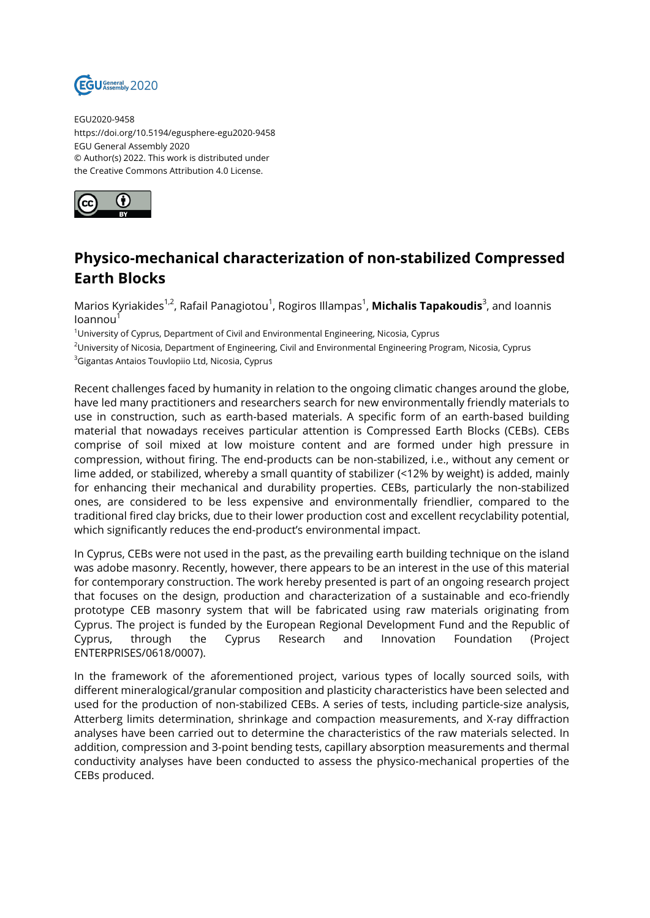

EGU2020-9458 https://doi.org/10.5194/egusphere-egu2020-9458 EGU General Assembly 2020 © Author(s) 2022. This work is distributed under the Creative Commons Attribution 4.0 License.



## **Physico-mechanical characterization of non-stabilized Compressed Earth Blocks**

Marios Kyriakides<sup>1,2</sup>, Rafail Panagiotou<sup>1</sup>, Rogiros Illampas<sup>1</sup>, **Michalis Tapakoudis**<sup>3</sup>, and Ioannis loannou<sup>1</sup>

 $1$ University of Cyprus, Department of Civil and Environmental Engineering, Nicosia, Cyprus

<sup>2</sup>University of Nicosia, Department of Engineering, Civil and Environmental Engineering Program, Nicosia, Cyprus

<sup>3</sup>Gigantas Antaios Touvlopiio Ltd, Nicosia, Cyprus

Recent challenges faced by humanity in relation to the ongoing climatic changes around the globe, have led many practitioners and researchers search for new environmentally friendly materials to use in construction, such as earth-based materials. A specific form of an earth-based building material that nowadays receives particular attention is Compressed Earth Blocks (CEBs). CEBs comprise of soil mixed at low moisture content and are formed under high pressure in compression, without firing. The end-products can be non-stabilized, i.e., without any cement or lime added, or stabilized, whereby a small quantity of stabilizer (<12% by weight) is added, mainly for enhancing their mechanical and durability properties. CEBs, particularly the non-stabilized ones, are considered to be less expensive and environmentally friendlier, compared to the traditional fired clay bricks, due to their lower production cost and excellent recyclability potential, which significantly reduces the end-product's environmental impact.

In Cyprus, CEBs were not used in the past, as the prevailing earth building technique on the island was adobe masonry. Recently, however, there appears to be an interest in the use of this material for contemporary construction. The work hereby presented is part of an ongoing research project that focuses on the design, production and characterization of a sustainable and eco-friendly prototype CEB masonry system that will be fabricated using raw materials originating from Cyprus. The project is funded by the European Regional Development Fund and the Republic of Cyprus, through the Cyprus Research and Innovation Foundation (Project ENTERPRISES/0618/0007).

In the framework of the aforementioned project, various types of locally sourced soils, with different mineralogical/granular composition and plasticity characteristics have been selected and used for the production of non-stabilized CEBs. A series of tests, including particle-size analysis, Atterberg limits determination, shrinkage and compaction measurements, and X-ray diffraction analyses have been carried out to determine the characteristics of the raw materials selected. In addition, compression and 3-point bending tests, capillary absorption measurements and thermal conductivity analyses have been conducted to assess the physico-mechanical properties of the CEBs produced.